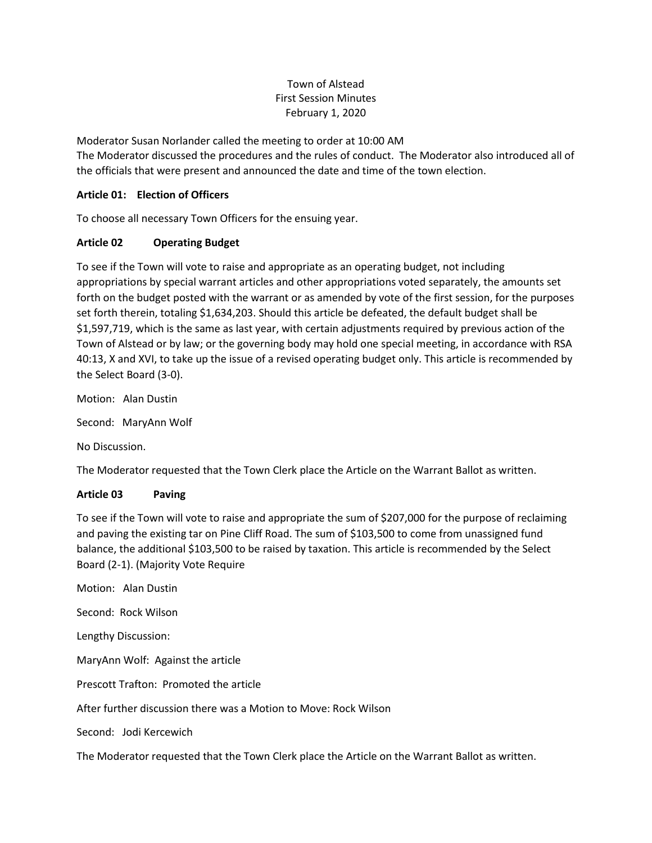# Town of Alstead First Session Minutes February 1, 2020

Moderator Susan Norlander called the meeting to order at 10:00 AM The Moderator discussed the procedures and the rules of conduct. The Moderator also introduced all of the officials that were present and announced the date and time of the town election.

## **Article 01: Election of Officers**

To choose all necessary Town Officers for the ensuing year.

### **Article 02 Operating Budget**

To see if the Town will vote to raise and appropriate as an operating budget, not including appropriations by special warrant articles and other appropriations voted separately, the amounts set forth on the budget posted with the warrant or as amended by vote of the first session, for the purposes set forth therein, totaling \$1,634,203. Should this article be defeated, the default budget shall be \$1,597,719, which is the same as last year, with certain adjustments required by previous action of the Town of Alstead or by law; or the governing body may hold one special meeting, in accordance with RSA 40:13, X and XVI, to take up the issue of a revised operating budget only. This article is recommended by the Select Board (3-0).

Motion: Alan Dustin

Second: MaryAnn Wolf

No Discussion.

The Moderator requested that the Town Clerk place the Article on the Warrant Ballot as written.

#### **Article 03 Paving**

To see if the Town will vote to raise and appropriate the sum of \$207,000 for the purpose of reclaiming and paving the existing tar on Pine Cliff Road. The sum of \$103,500 to come from unassigned fund balance, the additional \$103,500 to be raised by taxation. This article is recommended by the Select Board (2-1). (Majority Vote Require

Motion: Alan Dustin Second: Rock Wilson Lengthy Discussion: MaryAnn Wolf: Against the article Prescott Trafton: Promoted the article After further discussion there was a Motion to Move: Rock Wilson Second: Jodi Kercewich

The Moderator requested that the Town Clerk place the Article on the Warrant Ballot as written.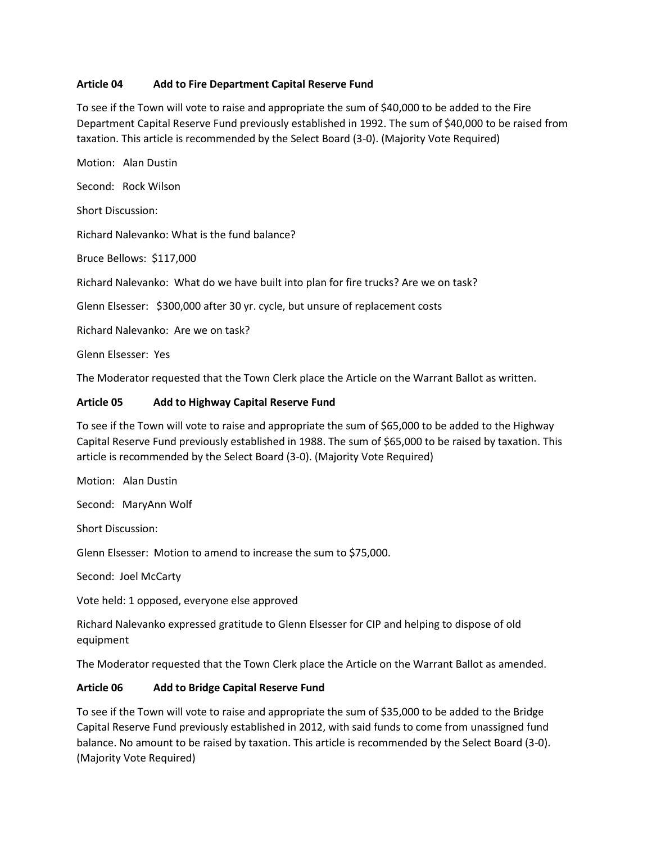### **Article 04 Add to Fire Department Capital Reserve Fund**

To see if the Town will vote to raise and appropriate the sum of \$40,000 to be added to the Fire Department Capital Reserve Fund previously established in 1992. The sum of \$40,000 to be raised from taxation. This article is recommended by the Select Board (3-0). (Majority Vote Required)

Motion: Alan Dustin Second: Rock Wilson Short Discussion: Richard Nalevanko: What is the fund balance? Bruce Bellows: \$117,000 Richard Nalevanko: What do we have built into plan for fire trucks? Are we on task?

Glenn Elsesser: \$300,000 after 30 yr. cycle, but unsure of replacement costs

Richard Nalevanko: Are we on task?

Glenn Elsesser: Yes

The Moderator requested that the Town Clerk place the Article on the Warrant Ballot as written.

### **Article 05 Add to Highway Capital Reserve Fund**

To see if the Town will vote to raise and appropriate the sum of \$65,000 to be added to the Highway Capital Reserve Fund previously established in 1988. The sum of \$65,000 to be raised by taxation. This article is recommended by the Select Board (3-0). (Majority Vote Required)

Motion: Alan Dustin

Second: MaryAnn Wolf

Short Discussion:

Glenn Elsesser: Motion to amend to increase the sum to \$75,000.

Second: Joel McCarty

Vote held: 1 opposed, everyone else approved

Richard Nalevanko expressed gratitude to Glenn Elsesser for CIP and helping to dispose of old equipment

The Moderator requested that the Town Clerk place the Article on the Warrant Ballot as amended.

#### **Article 06 Add to Bridge Capital Reserve Fund**

To see if the Town will vote to raise and appropriate the sum of \$35,000 to be added to the Bridge Capital Reserve Fund previously established in 2012, with said funds to come from unassigned fund balance. No amount to be raised by taxation. This article is recommended by the Select Board (3-0). (Majority Vote Required)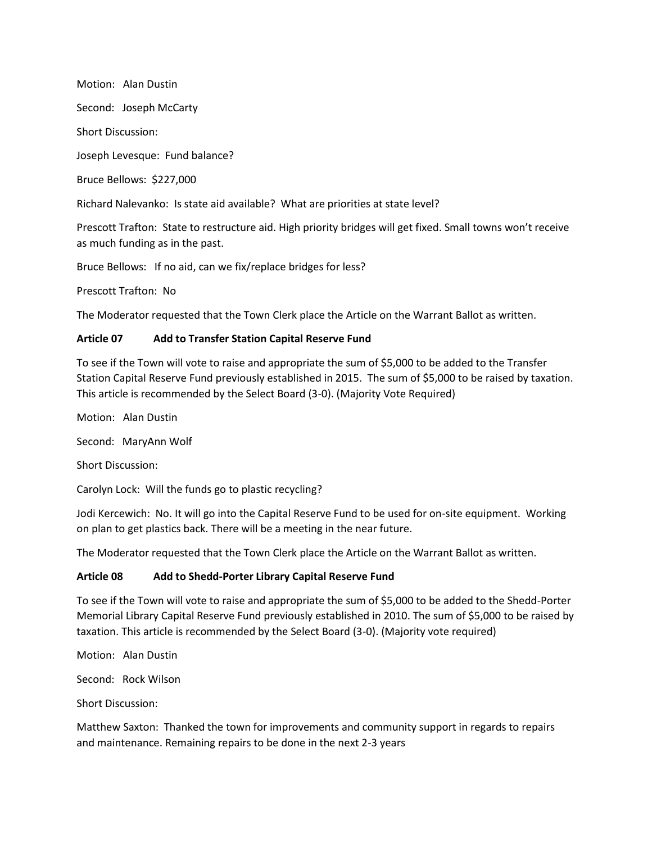Motion: Alan Dustin Second: Joseph McCarty Short Discussion: Joseph Levesque: Fund balance? Bruce Bellows: \$227,000

Richard Nalevanko: Is state aid available? What are priorities at state level?

Prescott Trafton: State to restructure aid. High priority bridges will get fixed. Small towns won't receive as much funding as in the past.

Bruce Bellows: If no aid, can we fix/replace bridges for less?

Prescott Trafton: No

The Moderator requested that the Town Clerk place the Article on the Warrant Ballot as written.

#### **Article 07 Add to Transfer Station Capital Reserve Fund**

To see if the Town will vote to raise and appropriate the sum of \$5,000 to be added to the Transfer Station Capital Reserve Fund previously established in 2015. The sum of \$5,000 to be raised by taxation. This article is recommended by the Select Board (3-0). (Majority Vote Required)

Motion: Alan Dustin

Second: MaryAnn Wolf

Short Discussion:

Carolyn Lock: Will the funds go to plastic recycling?

Jodi Kercewich: No. It will go into the Capital Reserve Fund to be used for on-site equipment. Working on plan to get plastics back. There will be a meeting in the near future.

The Moderator requested that the Town Clerk place the Article on the Warrant Ballot as written.

#### **Article 08 Add to Shedd-Porter Library Capital Reserve Fund**

To see if the Town will vote to raise and appropriate the sum of \$5,000 to be added to the Shedd-Porter Memorial Library Capital Reserve Fund previously established in 2010. The sum of \$5,000 to be raised by taxation. This article is recommended by the Select Board (3-0). (Majority vote required)

Motion: Alan Dustin

Second: Rock Wilson

Short Discussion:

Matthew Saxton: Thanked the town for improvements and community support in regards to repairs and maintenance. Remaining repairs to be done in the next 2-3 years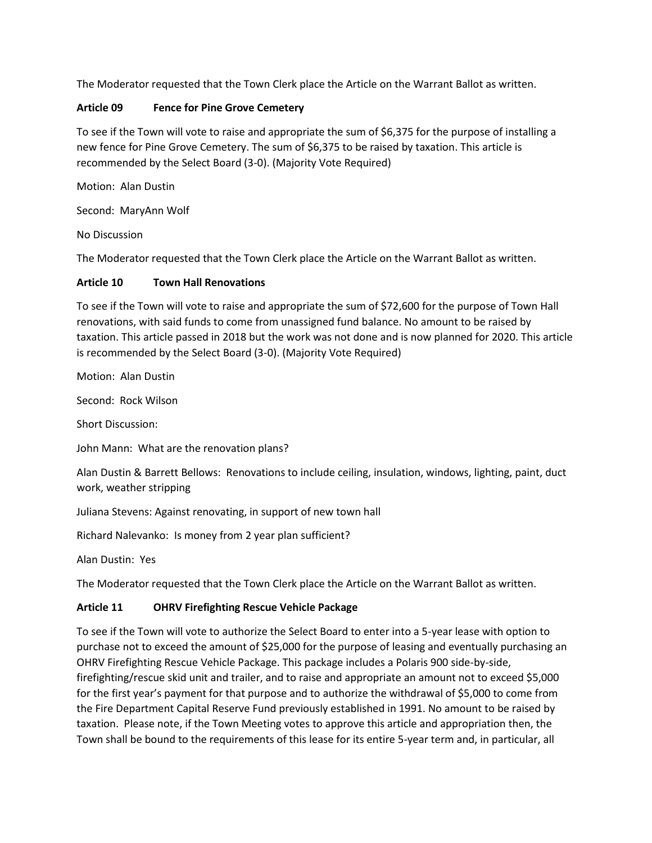The Moderator requested that the Town Clerk place the Article on the Warrant Ballot as written.

### **Article 09 Fence for Pine Grove Cemetery**

To see if the Town will vote to raise and appropriate the sum of \$6,375 for the purpose of installing a new fence for Pine Grove Cemetery. The sum of \$6,375 to be raised by taxation. This article is recommended by the Select Board (3-0). (Majority Vote Required)

Motion: Alan Dustin

Second: MaryAnn Wolf

No Discussion

The Moderator requested that the Town Clerk place the Article on the Warrant Ballot as written.

### **Article 10 Town Hall Renovations**

To see if the Town will vote to raise and appropriate the sum of \$72,600 for the purpose of Town Hall renovations, with said funds to come from unassigned fund balance. No amount to be raised by taxation. This article passed in 2018 but the work was not done and is now planned for 2020. This article is recommended by the Select Board (3-0). (Majority Vote Required)

Motion: Alan Dustin

Second: Rock Wilson

Short Discussion:

John Mann: What are the renovation plans?

Alan Dustin & Barrett Bellows: Renovations to include ceiling, insulation, windows, lighting, paint, duct work, weather stripping

Juliana Stevens: Against renovating, in support of new town hall

Richard Nalevanko: Is money from 2 year plan sufficient?

Alan Dustin: Yes

The Moderator requested that the Town Clerk place the Article on the Warrant Ballot as written.

# **Article 11 OHRV Firefighting Rescue Vehicle Package**

To see if the Town will vote to authorize the Select Board to enter into a 5-year lease with option to purchase not to exceed the amount of \$25,000 for the purpose of leasing and eventually purchasing an OHRV Firefighting Rescue Vehicle Package. This package includes a Polaris 900 side-by-side, firefighting/rescue skid unit and trailer, and to raise and appropriate an amount not to exceed \$5,000 for the first year's payment for that purpose and to authorize the withdrawal of \$5,000 to come from the Fire Department Capital Reserve Fund previously established in 1991. No amount to be raised by taxation. Please note, if the Town Meeting votes to approve this article and appropriation then, the Town shall be bound to the requirements of this lease for its entire 5-year term and, in particular, all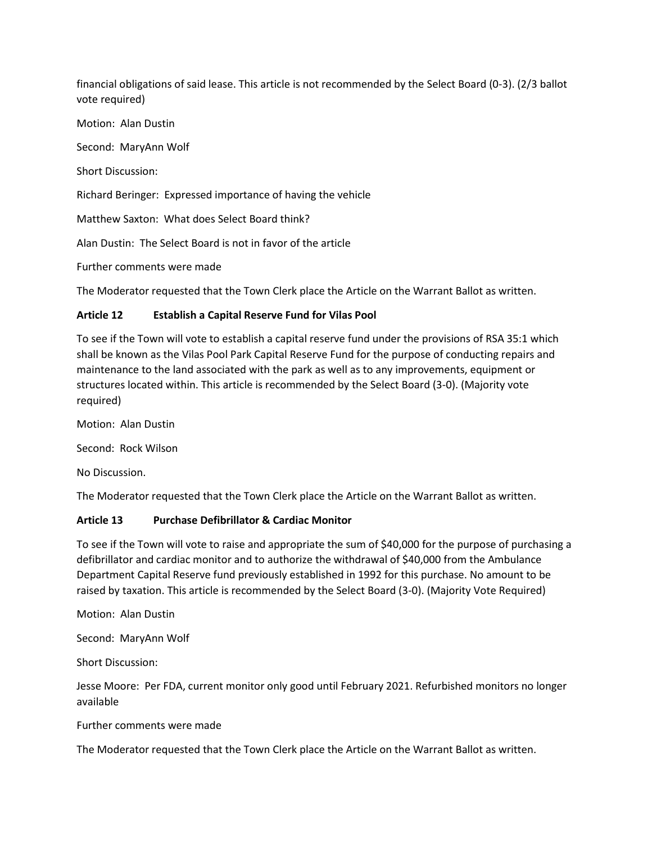financial obligations of said lease. This article is not recommended by the Select Board (0-3). (2/3 ballot vote required)

Motion: Alan Dustin

Second: MaryAnn Wolf

Short Discussion:

Richard Beringer: Expressed importance of having the vehicle

Matthew Saxton: What does Select Board think?

Alan Dustin: The Select Board is not in favor of the article

Further comments were made

The Moderator requested that the Town Clerk place the Article on the Warrant Ballot as written.

### **Article 12 Establish a Capital Reserve Fund for Vilas Pool**

To see if the Town will vote to establish a capital reserve fund under the provisions of RSA 35:1 which shall be known as the Vilas Pool Park Capital Reserve Fund for the purpose of conducting repairs and maintenance to the land associated with the park as well as to any improvements, equipment or structures located within. This article is recommended by the Select Board (3-0). (Majority vote required)

Motion: Alan Dustin

Second: Rock Wilson

No Discussion.

The Moderator requested that the Town Clerk place the Article on the Warrant Ballot as written.

#### **Article 13 Purchase Defibrillator & Cardiac Monitor**

To see if the Town will vote to raise and appropriate the sum of \$40,000 for the purpose of purchasing a defibrillator and cardiac monitor and to authorize the withdrawal of \$40,000 from the Ambulance Department Capital Reserve fund previously established in 1992 for this purchase. No amount to be raised by taxation. This article is recommended by the Select Board (3-0). (Majority Vote Required)

Motion: Alan Dustin

Second: MaryAnn Wolf

Short Discussion:

Jesse Moore: Per FDA, current monitor only good until February 2021. Refurbished monitors no longer available

Further comments were made

The Moderator requested that the Town Clerk place the Article on the Warrant Ballot as written.